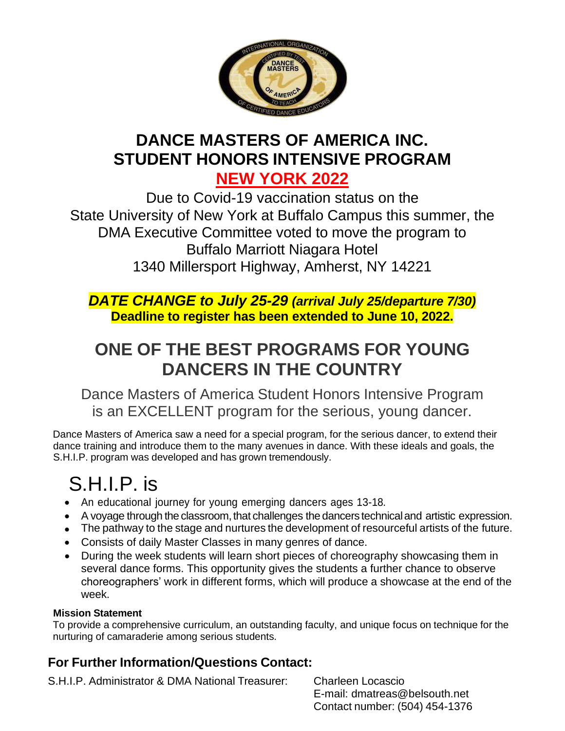

## **DANCE MASTERS OF AMERICA INC. STUDENT HONORS INTENSIVE PROGRAM NEW YORK 2022**

Due to Covid-19 vaccination status on the State University of New York at Buffalo Campus this summer, the DMA Executive Committee voted to move the program to Buffalo Marriott Niagara Hotel 1340 Millersport Highway, Amherst, NY 14221

*DATE CHANGE to July 25-29 (arrival July 25/departure 7/30)* **Deadline to register has been extended to June 10, 2022.**

## **ONE OF THE BEST PROGRAMS FOR YOUNG DANCERS IN THE COUNTRY**

Dance Masters of America Student Honors Intensive Program is an EXCELLENT program for the serious, young dancer.

Dance Masters of America saw a need for a special program, for the serious dancer, to extend their dance training and introduce them to the many avenues in dance. With these ideals and goals, the S.H.I.P. program was developed and has grown tremendously.

# S.H.I.P. is

- An educational journey for young emerging dancers ages 13-18.
- A voyage through the classroom, that challenges the dancers technical and artistic expression.
- The pathway to the stage and nurtures the development of resourceful artists of the future.
- Consists of daily Master Classes in many genres of dance.
- During the week students will learn short pieces of choreography showcasing them in several dance forms. This opportunity gives the students a further chance to observe choreographers' work in different forms, which will produce a showcase at the end of the week.

#### **Mission Statement**

To provide a comprehensive curriculum, an outstanding faculty, and unique focus on technique for the nurturing of camaraderie among serious students.

### **For Further Information/Questions Contact:**

S.H.I.P. Administrator & DMA National Treasurer: Charleen Locascio

E-mail: [dmatreas@belsouth.net](mailto:dmatreas@belsouth.net) Contact number: (504) 454-1376